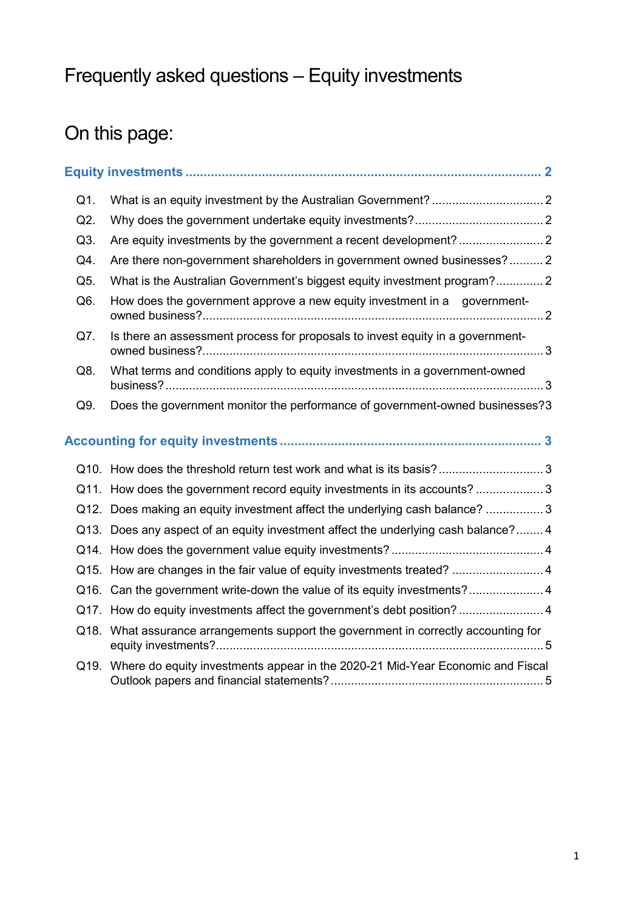# Frequently asked questions – Equity investments

# On this page:

| Q1.              |                                                                                     |  |
|------------------|-------------------------------------------------------------------------------------|--|
| Q2.              |                                                                                     |  |
| Q3.              |                                                                                     |  |
| Q4.              | Are there non-government shareholders in government owned businesses?2              |  |
| Q5.              | What is the Australian Government's biggest equity investment program?2             |  |
| Q <sub>6</sub> . | How does the government approve a new equity investment in a government-            |  |
| Q7.              | Is there an assessment process for proposals to invest equity in a government-      |  |
| Q8.              | What terms and conditions apply to equity investments in a government-owned         |  |
| Q9.              | Does the government monitor the performance of government-owned businesses?3        |  |
|                  |                                                                                     |  |
|                  |                                                                                     |  |
|                  | Q11. How does the government record equity investments in its accounts?  3          |  |
|                  | Q12. Does making an equity investment affect the underlying cash balance? 3         |  |
|                  | Q13. Does any aspect of an equity investment affect the underlying cash balance?4   |  |
|                  |                                                                                     |  |
|                  | Q15. How are changes in the fair value of equity investments treated?  4            |  |
|                  | Q16. Can the government write-down the value of its equity investments?4            |  |
|                  | Q17. How do equity investments affect the government's debt position?  4            |  |
|                  | Q18. What assurance arrangements support the government in correctly accounting for |  |
|                  | Q19. Where do equity investments appear in the 2020-21 Mid-Year Economic and Fiscal |  |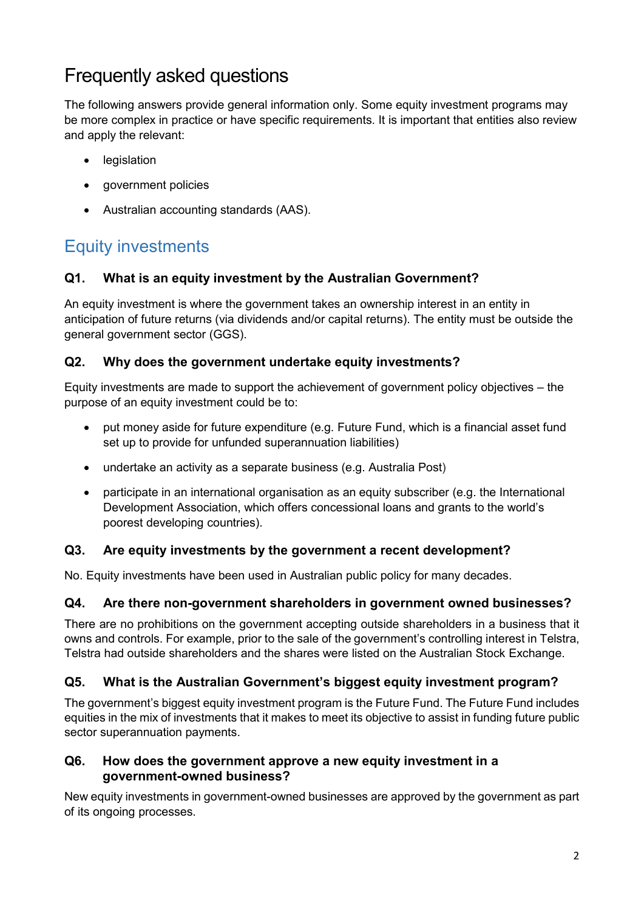## Frequently asked questions

The following answers provide general information only. Some equity investment programs may be more complex in practice or have specific requirements. It is important that entities also review and apply the relevant:

- **legislation**
- government policies
- Australian accounting standards (AAS).

### Equity investments

### **Q1. What is an equity investment by the Australian Government?**

An equity investment is where the government takes an ownership interest in an entity in anticipation of future returns (via dividends and/or capital returns). The entity must be outside the general government sector (GGS).

### **Q2. Why does the government undertake equity investments?**

Equity investments are made to support the achievement of government policy objectives – the purpose of an equity investment could be to:

- put money aside for future expenditure (e.g. Future Fund, which is a financial asset fund set up to provide for unfunded superannuation liabilities)
- undertake an activity as a separate business (e.g. Australia Post)
- participate in an international organisation as an equity subscriber (e.g. the International Development Association, which offers concessional loans and grants to the world's poorest developing countries).

### **Q3. Are equity investments by the government a recent development?**

No. Equity investments have been used in Australian public policy for many decades.

### **Q4. Are there non-government shareholders in government owned businesses?**

There are no prohibitions on the government accepting outside shareholders in a business that it owns and controls. For example, prior to the sale of the government's controlling interest in Telstra, Telstra had outside shareholders and the shares were listed on the Australian Stock Exchange.

### **Q5. What is the Australian Government's biggest equity investment program?**

The government's biggest equity investment program is the Future Fund. The Future Fund includes equities in the mix of investments that it makes to meet its objective to assist in funding future public sector superannuation payments.

### **Q6. How does the government approve a new equity investment in a government-owned business?**

New equity investments in government-owned businesses are approved by the government as part of its ongoing processes.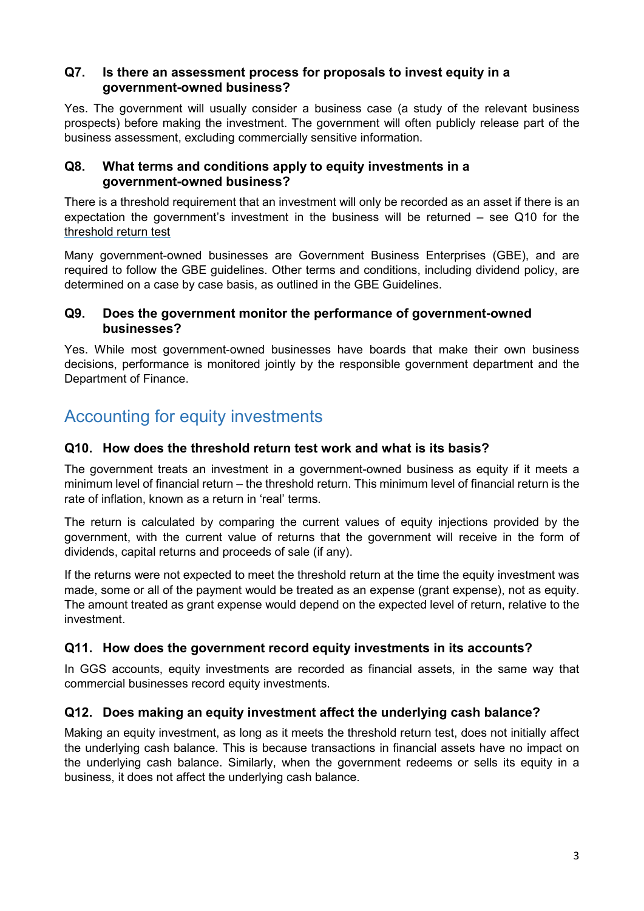#### **Q7. Is there an assessment process for proposals to invest equity in a government-owned business?**

Yes. The government will usually consider a business case (a study of the relevant business prospects) before making the investment. The government will often publicly release part of the business assessment, excluding commercially sensitive information.

### **Q8. What terms and conditions apply to equity investments in a government-owned business?**

There is a threshold requirement that an investment will only be recorded as an asset if there is an expectation the government's investment in the business will be returned – see Q10 for the threshold [return test](#page-2-0)

Many government-owned businesses are Government Business Enterprises (GBE), and are required to follow the GBE guidelines. Other terms and conditions, including dividend policy, are determined on a case by case basis, as outlined in the GBE Guidelines.

### **Q9. Does the government monitor the performance of government-owned businesses?**

Yes. While most government-owned businesses have boards that make their own business decisions, performance is monitored jointly by the responsible government department and the Department of Finance.

### <span id="page-2-0"></span>Accounting for equity investments

### **Q10. How does the threshold return test work and what is its basis?**

The government treats an investment in a government-owned business as equity if it meets a minimum level of financial return – the threshold return. This minimum level of financial return is the rate of inflation, known as a return in 'real' terms.

The return is calculated by comparing the current values of equity injections provided by the government, with the current value of returns that the government will receive in the form of dividends, capital returns and proceeds of sale (if any).

If the returns were not expected to meet the threshold return at the time the equity investment was made, some or all of the payment would be treated as an expense (grant expense), not as equity. The amount treated as grant expense would depend on the expected level of return, relative to the investment.

### **Q11. How does the government record equity investments in its accounts?**

In GGS accounts, equity investments are recorded as financial assets, in the same way that commercial businesses record equity investments.

### **Q12. Does making an equity investment affect the underlying cash balance?**

Making an equity investment, as long as it meets the threshold return test, does not initially affect the underlying cash balance. This is because transactions in financial assets have no impact on the underlying cash balance. Similarly, when the government redeems or sells its equity in a business, it does not affect the underlying cash balance.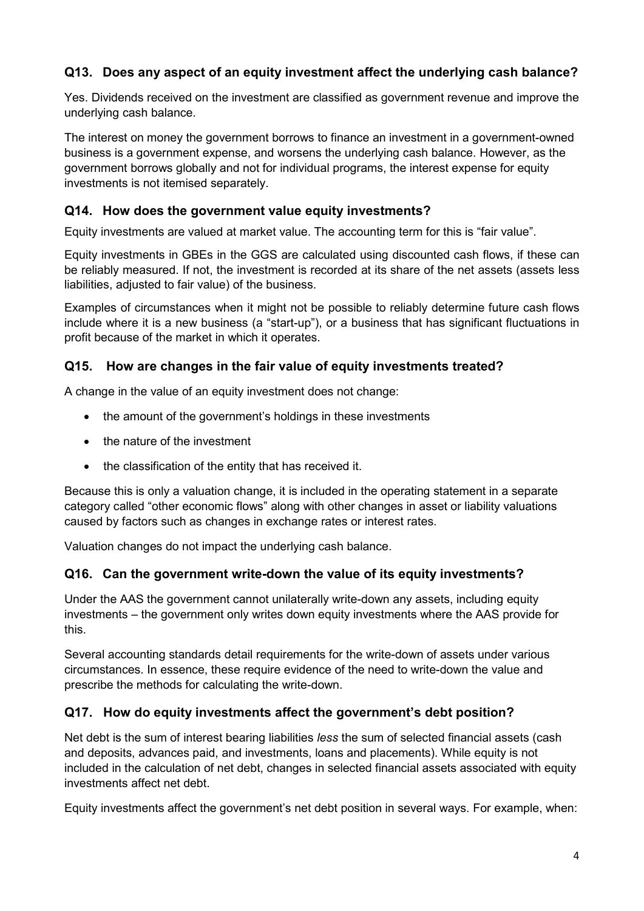### **Q13. Does any aspect of an equity investment affect the underlying cash balance?**

Yes. Dividends received on the investment are classified as government revenue and improve the underlying cash balance.

The interest on money the government borrows to finance an investment in a government-owned business is a government expense, and worsens the underlying cash balance. However, as the government borrows globally and not for individual programs, the interest expense for equity investments is not itemised separately.

### **Q14. How does the government value equity investments?**

Equity investments are valued at market value. The accounting term for this is "fair value".

Equity investments in GBEs in the GGS are calculated using discounted cash flows, if these can be reliably measured. If not, the investment is recorded at its share of the net assets (assets less liabilities, adjusted to fair value) of the business.

Examples of circumstances when it might not be possible to reliably determine future cash flows include where it is a new business (a "start-up"), or a business that has significant fluctuations in profit because of the market in which it operates.

### **Q15. How are changes in the fair value of equity investments treated?**

A change in the value of an equity investment does not change:

- the amount of the government's holdings in these investments
- the nature of the investment
- the classification of the entity that has received it.

Because this is only a valuation change, it is included in the operating statement in a separate category called "other economic flows" along with other changes in asset or liability valuations caused by factors such as changes in exchange rates or interest rates.

Valuation changes do not impact the underlying cash balance.

### **Q16. Can the government write-down the value of its equity investments?**

Under the AAS the government cannot unilaterally write-down any assets, including equity investments – the government only writes down equity investments where the AAS provide for this.

Several accounting standards detail requirements for the write-down of assets under various circumstances. In essence, these require evidence of the need to write-down the value and prescribe the methods for calculating the write-down.

### **Q17. How do equity investments affect the government's debt position?**

Net debt is the sum of interest bearing liabilities *less* the sum of selected financial assets (cash and deposits, advances paid, and investments, loans and placements). While equity is not included in the calculation of net debt, changes in selected financial assets associated with equity investments affect net debt.

Equity investments affect the government's net debt position in several ways. For example, when: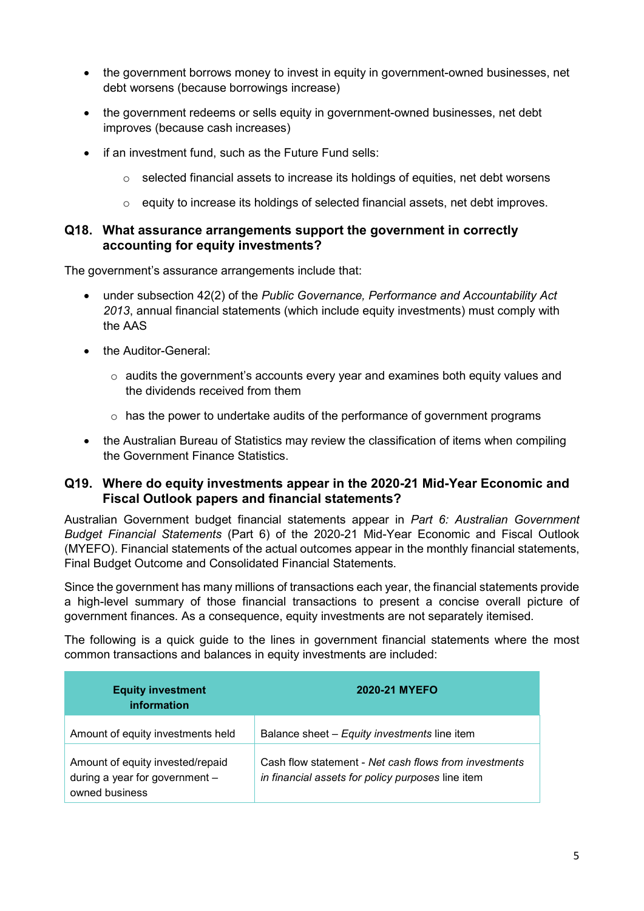- the government borrows money to invest in equity in government-owned businesses, net debt worsens (because borrowings increase)
- the government redeems or sells equity in government-owned businesses, net debt improves (because cash increases)
- if an investment fund, such as the Future Fund sells:
	- o selected financial assets to increase its holdings of equities, net debt worsens
	- $\circ$  equity to increase its holdings of selected financial assets, net debt improves.

#### **Q18. What assurance arrangements support the government in correctly accounting for equity investments?**

The government's assurance arrangements include that:

- under subsection 42(2) of the *Public Governance, Performance and Accountability Act 2013*, annual financial statements (which include equity investments) must comply with the AAS
- the Auditor-General:
	- $\circ$  audits the government's accounts every year and examines both equity values and the dividends received from them
	- $\circ$  has the power to undertake audits of the performance of government programs
- the Australian Bureau of Statistics may review the classification of items when compiling the Government Finance Statistics.

### **Q19. Where do equity investments appear in the 2020-21 Mid-Year Economic and Fiscal Outlook papers and financial statements?**

Australian Government budget financial statements appear in *Part 6: Australian Government Budget Financial Statements* (Part 6) of the 2020-21 Mid-Year Economic and Fiscal Outlook (MYEFO). Financial statements of the actual outcomes appear in the monthly financial statements, Final Budget Outcome and Consolidated Financial Statements.

Since the government has many millions of transactions each year, the financial statements provide a high-level summary of those financial transactions to present a concise overall picture of government finances. As a consequence, equity investments are not separately itemised.

The following is a quick guide to the lines in government financial statements where the most common transactions and balances in equity investments are included:

| <b>Equity investment</b><br>information                                              | 2020-21 MYEFO                                                                                              |
|--------------------------------------------------------------------------------------|------------------------------------------------------------------------------------------------------------|
| Amount of equity investments held                                                    | Balance sheet – Equity investments line item                                                               |
| Amount of equity invested/repaid<br>during a year for government -<br>owned business | Cash flow statement - Net cash flows from investments<br>in financial assets for policy purposes line item |